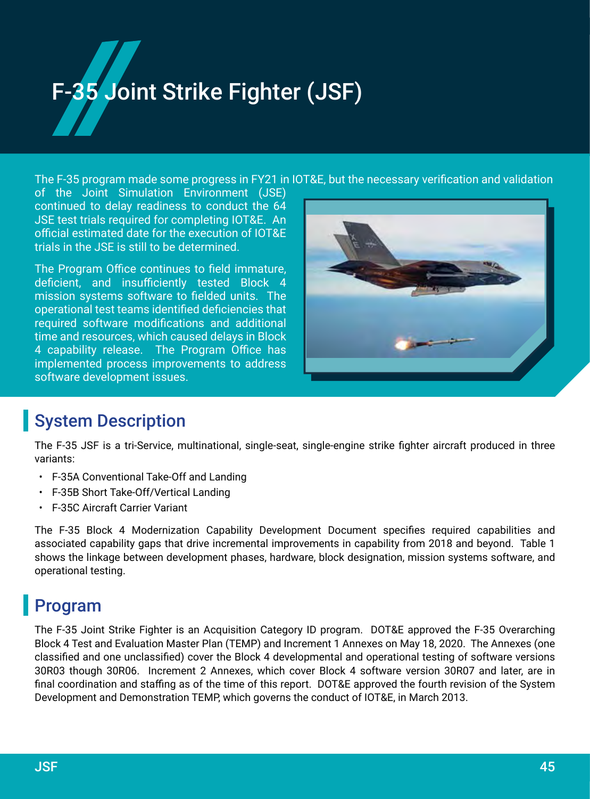# 35 Joint Strike Fighter (JSF)

The F-35 program made some progress in FY21 in IOT&E, but the necessary verification and validation

of the Joint Simulation Environment (JSE) continued to delay readiness to conduct the 64 JSE test trials required for completing IOT&E. An official estimated date for the execution of IOT&E trials in the JSE is still to be determined.

The Program Office continues to field immature, deficient, and insufficiently tested Block 4 mission systems software to fielded units. The operational test teams identified deficiencies that required software modifications and additional time and resources, which caused delays in Block 4 capability release. The Program Office has implemented process improvements to address software development issues.



## System Description

The F-35 JSF is a tri-Service, multinational, single-seat, single-engine strike fighter aircraft produced in three variants:

- F-35A Conventional Take-Off and Landing
- F-35B Short Take-Off/Vertical Landing
- F-35C Aircraft Carrier Variant

The F-35 Block 4 Modernization Capability Development Document specifies required capabilities and associated capability gaps that drive incremental improvements in capability from 2018 and beyond. Table 1 shows the linkage between development phases, hardware, block designation, mission systems software, and operational testing.

## Program

The F-35 Joint Strike Fighter is an Acquisition Category ID program. DOT&E approved the F-35 Overarching Block 4 Test and Evaluation Master Plan (TEMP) and Increment 1 Annexes on May 18, 2020. The Annexes (one classified and one unclassified) cover the Block 4 developmental and operational testing of software versions 30R03 though 30R06. Increment 2 Annexes, which cover Block 4 software version 30R07 and later, are in final coordination and staffing as of the time of this report. DOT&E approved the fourth revision of the System Development and Demonstration TEMP, which governs the conduct of IOT&E, in March 2013.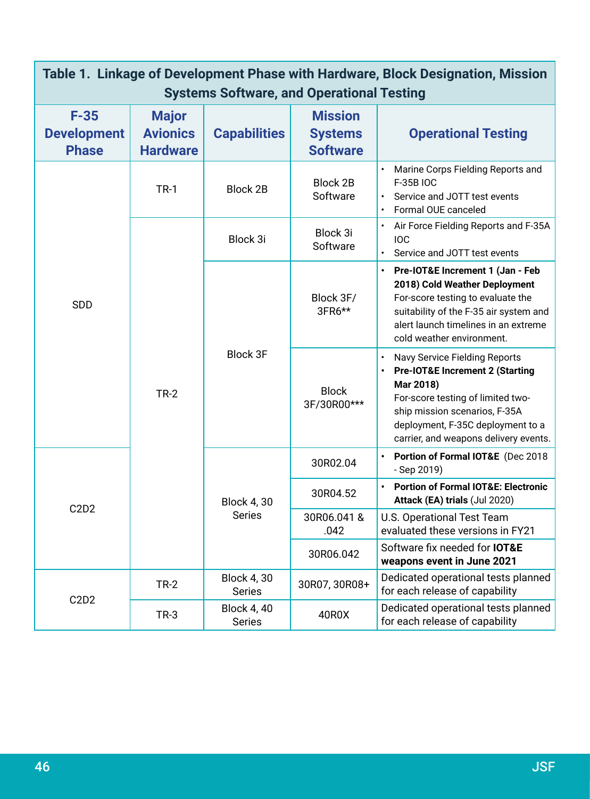| Table 1. Linkage of Development Phase with Hardware, Block Designation, Mission<br><b>Systems Software, and Operational Testing</b> |                                                    |                                     |                                                     |                                                                                                                                                                                                                                                     |  |  |  |  |  |
|-------------------------------------------------------------------------------------------------------------------------------------|----------------------------------------------------|-------------------------------------|-----------------------------------------------------|-----------------------------------------------------------------------------------------------------------------------------------------------------------------------------------------------------------------------------------------------------|--|--|--|--|--|
| $F-35$<br><b>Development</b><br><b>Phase</b>                                                                                        | <b>Major</b><br><b>Avionics</b><br><b>Hardware</b> | <b>Capabilities</b>                 | <b>Mission</b><br><b>Systems</b><br><b>Software</b> | <b>Operational Testing</b>                                                                                                                                                                                                                          |  |  |  |  |  |
| <b>SDD</b>                                                                                                                          | <b>TR-1</b>                                        | <b>Block 2B</b>                     | Block 2B<br>Software                                | Marine Corps Fielding Reports and<br>F-35B IOC<br>Service and JOTT test events<br>Formal OUE canceled                                                                                                                                               |  |  |  |  |  |
|                                                                                                                                     | $TR-2$                                             | Block 3i                            | Block 3i<br>Software                                | Air Force Fielding Reports and F-35A<br><b>IOC</b><br>Service and JOTT test events                                                                                                                                                                  |  |  |  |  |  |
|                                                                                                                                     |                                                    |                                     | Block 3F/<br>3FR6**                                 | Pre-IOT&E Increment 1 (Jan - Feb<br>2018) Cold Weather Deployment<br>For-score testing to evaluate the<br>suitability of the F-35 air system and<br>alert launch timelines in an extreme<br>cold weather environment.                               |  |  |  |  |  |
|                                                                                                                                     |                                                    | <b>Block 3F</b>                     | <b>Block</b><br>3F/30R00***                         | <b>Navy Service Fielding Reports</b><br><b>Pre-IOT&amp;E Increment 2 (Starting</b><br>Mar 2018)<br>For-score testing of limited two-<br>ship mission scenarios, F-35A<br>deployment, F-35C deployment to a<br>carrier, and weapons delivery events. |  |  |  |  |  |
| C2D2                                                                                                                                |                                                    |                                     | 30R02.04                                            | Portion of Formal IOT&E (Dec 2018<br>- Sep 2019)                                                                                                                                                                                                    |  |  |  |  |  |
|                                                                                                                                     |                                                    | <b>Block 4, 30</b>                  | 30R04.52                                            | <b>Portion of Formal IOT&amp;E: Electronic</b><br>Attack (EA) trials (Jul 2020)                                                                                                                                                                     |  |  |  |  |  |
|                                                                                                                                     |                                                    | <b>Series</b>                       | 30R06.041 &<br>.042                                 | U.S. Operational Test Team<br>evaluated these versions in FY21                                                                                                                                                                                      |  |  |  |  |  |
|                                                                                                                                     |                                                    |                                     | 30R06.042                                           | Software fix needed for <b>IOT&amp;E</b><br>weapons event in June 2021                                                                                                                                                                              |  |  |  |  |  |
| C2D2                                                                                                                                | $TR-2$                                             | <b>Block 4, 30</b><br><b>Series</b> | 30R07, 30R08+                                       | Dedicated operational tests planned<br>for each release of capability                                                                                                                                                                               |  |  |  |  |  |
|                                                                                                                                     | $TR-3$                                             | <b>Block 4, 40</b><br><b>Series</b> | 40R0X                                               | Dedicated operational tests planned<br>for each release of capability                                                                                                                                                                               |  |  |  |  |  |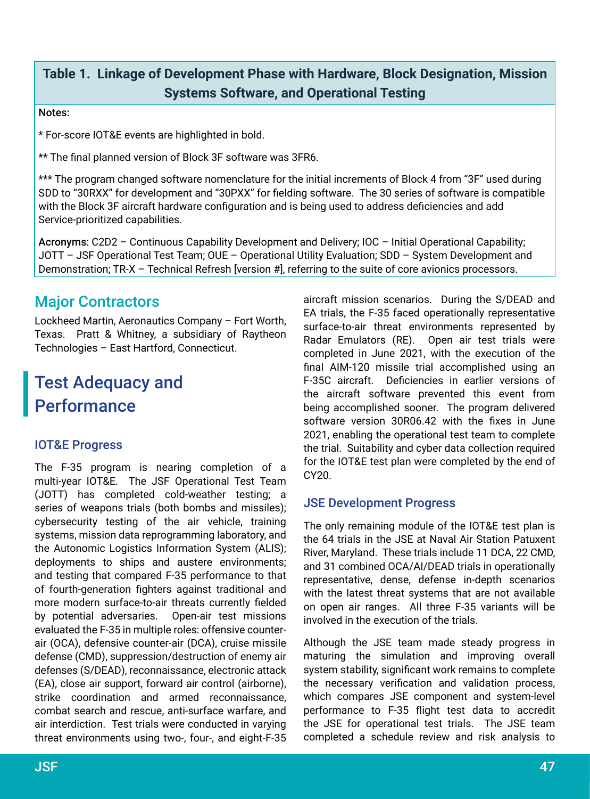## **Table 1. Linkage of Development Phase with Hardware, Block Designation, Mission Systems Software, and Operational Testing**

#### Notes:

\* For-score IOT&E events are highlighted in bold.

\*\* The final planned version of Block 3F software was 3FR6.

\*\*\* The program changed software nomenclature for the initial increments of Block 4 from "3F" used during SDD to "30RXX" for development and "30PXX" for fielding software. The 30 series of software is compatible with the Block 3F aircraft hardware configuration and is being used to address deficiencies and add Service-prioritized capabilities.

Acronyms: C2D2 – Continuous Capability Development and Delivery; IOC – Initial Operational Capability; JOTT – JSF Operational Test Team; OUE – Operational Utility Evaluation; SDD – System Development and Demonstration; TR-X – Technical Refresh [version #], referring to the suite of core avionics processors.

## Major Contractors

Lockheed Martin, Aeronautics Company – Fort Worth, Texas. Pratt & Whitney, a subsidiary of Raytheon Technologies – East Hartford, Connecticut.

## Test Adequacy and **Performance**

#### IOT&E Progress

The F-35 program is nearing completion of a multi-year IOT&E. The JSF Operational Test Team (JOTT) has completed cold-weather testing; a series of weapons trials (both bombs and missiles); cybersecurity testing of the air vehicle, training systems, mission data reprogramming laboratory, and the Autonomic Logistics Information System (ALIS); deployments to ships and austere environments; and testing that compared F-35 performance to that of fourth-generation fighters against traditional and more modern surface-to-air threats currently fielded by potential adversaries. Open-air test missions evaluated the F-35 in multiple roles: offensive counterair (OCA), defensive counter-air (DCA), cruise missile defense (CMD), suppression/destruction of enemy air defenses (S/DEAD), reconnaissance, electronic attack (EA), close air support, forward air control (airborne), strike coordination and armed reconnaissance, combat search and rescue, anti-surface warfare, and air interdiction. Test trials were conducted in varying threat environments using two-, four-, and eight-F-35

aircraft mission scenarios. During the S/DEAD and EA trials, the F-35 faced operationally representative surface-to-air threat environments represented by Radar Emulators (RE). Open air test trials were completed in June 2021, with the execution of the final AIM-120 missile trial accomplished using an F-35C aircraft. Deficiencies in earlier versions of the aircraft software prevented this event from being accomplished sooner. The program delivered software version 30R06.42 with the fixes in June 2021, enabling the operational test team to complete the trial. Suitability and cyber data collection required for the IOT&E test plan were completed by the end of CY20.

#### JSE Development Progress

The only remaining module of the IOT&E test plan is the 64 trials in the JSE at Naval Air Station Patuxent River, Maryland. These trials include 11 DCA, 22 CMD, and 31 combined OCA/AI/DEAD trials in operationally representative, dense, defense in-depth scenarios with the latest threat systems that are not available on open air ranges. All three F-35 variants will be involved in the execution of the trials.

Although the JSE team made steady progress in maturing the simulation and improving overall system stability, significant work remains to complete the necessary verification and validation process, which compares JSE component and system-level performance to F-35 flight test data to accredit the JSE for operational test trials. The JSE team completed a schedule review and risk analysis to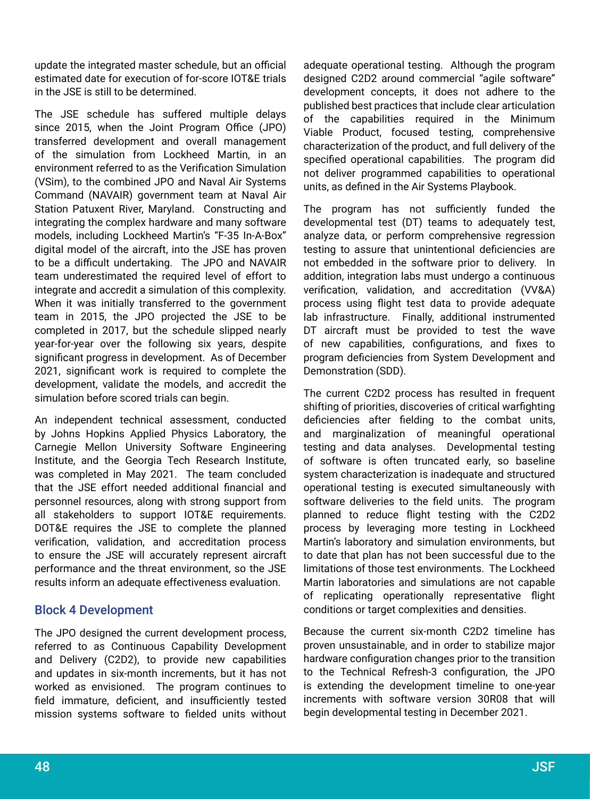update the integrated master schedule, but an official estimated date for execution of for-score IOT&E trials in the JSE is still to be determined.

The JSE schedule has suffered multiple delays since 2015, when the Joint Program Office (JPO) transferred development and overall management of the simulation from Lockheed Martin, in an environment referred to as the Verification Simulation (VSim), to the combined JPO and Naval Air Systems Command (NAVAIR) government team at Naval Air Station Patuxent River, Maryland. Constructing and integrating the complex hardware and many software models, including Lockheed Martin's "F‑35 In-A-Box" digital model of the aircraft, into the JSE has proven to be a difficult undertaking. The JPO and NAVAIR team underestimated the required level of effort to integrate and accredit a simulation of this complexity. When it was initially transferred to the government team in 2015, the JPO projected the JSE to be completed in 2017, but the schedule slipped nearly year-for-year over the following six years, despite significant progress in development. As of December 2021, significant work is required to complete the development, validate the models, and accredit the simulation before scored trials can begin.

An independent technical assessment, conducted by Johns Hopkins Applied Physics Laboratory, the Carnegie Mellon University Software Engineering Institute, and the Georgia Tech Research Institute, was completed in May 2021. The team concluded that the JSE effort needed additional financial and personnel resources, along with strong support from all stakeholders to support IOT&E requirements. DOT&E requires the JSE to complete the planned verification, validation, and accreditation process to ensure the JSE will accurately represent aircraft performance and the threat environment, so the JSE results inform an adequate effectiveness evaluation.

#### Block 4 Development

The JPO designed the current development process, referred to as Continuous Capability Development and Delivery (C2D2), to provide new capabilities and updates in six-month increments, but it has not worked as envisioned. The program continues to field immature, deficient, and insufficiently tested mission systems software to fielded units without

adequate operational testing. Although the program designed C2D2 around commercial "agile software" development concepts, it does not adhere to the published best practices that include clear articulation of the capabilities required in the Minimum Viable Product, focused testing, comprehensive characterization of the product, and full delivery of the specified operational capabilities. The program did not deliver programmed capabilities to operational units, as defined in the Air Systems Playbook.

The program has not sufficiently funded the developmental test (DT) teams to adequately test, analyze data, or perform comprehensive regression testing to assure that unintentional deficiencies are not embedded in the software prior to delivery. In addition, integration labs must undergo a continuous verification, validation, and accreditation (VV&A) process using flight test data to provide adequate lab infrastructure. Finally, additional instrumented DT aircraft must be provided to test the wave of new capabilities, configurations, and fixes to program deficiencies from System Development and Demonstration (SDD).

The current C2D2 process has resulted in frequent shifting of priorities, discoveries of critical warfighting deficiencies after fielding to the combat units, and marginalization of meaningful operational testing and data analyses. Developmental testing of software is often truncated early, so baseline system characterization is inadequate and structured operational testing is executed simultaneously with software deliveries to the field units. The program planned to reduce flight testing with the C2D2 process by leveraging more testing in Lockheed Martin's laboratory and simulation environments, but to date that plan has not been successful due to the limitations of those test environments. The Lockheed Martin laboratories and simulations are not capable of replicating operationally representative flight conditions or target complexities and densities.

Because the current six-month C2D2 timeline has proven unsustainable, and in order to stabilize major hardware configuration changes prior to the transition to the Technical Refresh-3 configuration, the JPO is extending the development timeline to one-year increments with software version 30R08 that will begin developmental testing in December 2021.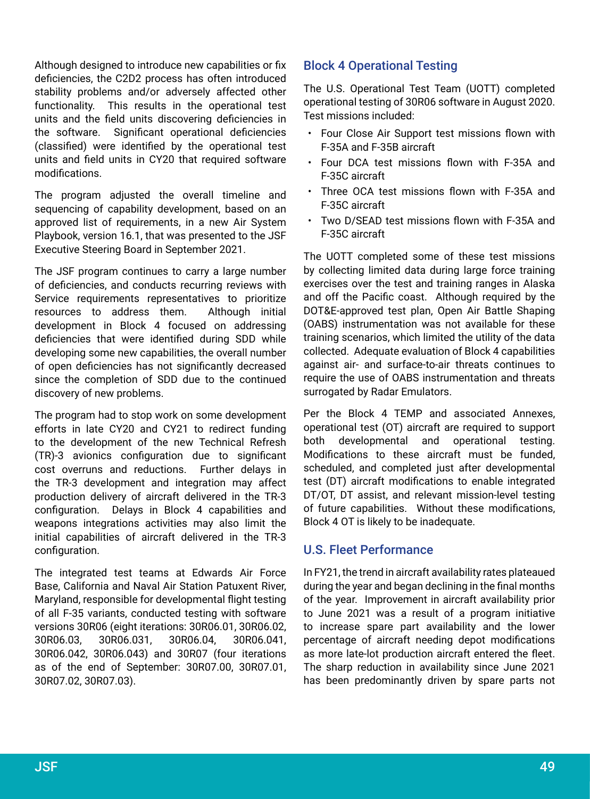Although designed to introduce new capabilities or fix deficiencies, the C2D2 process has often introduced stability problems and/or adversely affected other functionality. This results in the operational test units and the field units discovering deficiencies in the software. Significant operational deficiencies (classified) were identified by the operational test units and field units in CY20 that required software modifications.

The program adjusted the overall timeline and sequencing of capability development, based on an approved list of requirements, in a new Air System Playbook, version 16.1, that was presented to the JSF Executive Steering Board in September 2021.

The JSF program continues to carry a large number of deficiencies, and conducts recurring reviews with Service requirements representatives to prioritize resources to address them. Although initial development in Block 4 focused on addressing deficiencies that were identified during SDD while developing some new capabilities, the overall number of open deficiencies has not significantly decreased since the completion of SDD due to the continued discovery of new problems.

The program had to stop work on some development efforts in late CY20 and CY21 to redirect funding to the development of the new Technical Refresh (TR)-3 avionics configuration due to significant cost overruns and reductions. Further delays in the TR-3 development and integration may affect production delivery of aircraft delivered in the TR-3 configuration. Delays in Block 4 capabilities and weapons integrations activities may also limit the initial capabilities of aircraft delivered in the TR-3 configuration.

The integrated test teams at Edwards Air Force Base, California and Naval Air Station Patuxent River, Maryland, responsible for developmental flight testing of all F-35 variants, conducted testing with software versions 30R06 (eight iterations: 30R06.01, 30R06.02, 30R06.03, 30R06.031, 30R06.04, 30R06.041, 30R06.042, 30R06.043) and 30R07 (four iterations as of the end of September: 30R07.00, 30R07.01, 30R07.02, 30R07.03).

#### Block 4 Operational Testing

The U.S. Operational Test Team (UOTT) completed operational testing of 30R06 software in August 2020. Test missions included:

- Four Close Air Support test missions flown with F-35A and F-35B aircraft
- Four DCA test missions flown with F-35A and F-35C aircraft
- Three OCA test missions flown with F-35A and F-35C aircraft
- Two D/SEAD test missions flown with F-35A and F-35C aircraft

The UOTT completed some of these test missions by collecting limited data during large force training exercises over the test and training ranges in Alaska and off the Pacific coast. Although required by the DOT&E-approved test plan, Open Air Battle Shaping (OABS) instrumentation was not available for these training scenarios, which limited the utility of the data collected. Adequate evaluation of Block 4 capabilities against air- and surface-to-air threats continues to require the use of OABS instrumentation and threats surrogated by Radar Emulators.

Per the Block 4 TEMP and associated Annexes, operational test (OT) aircraft are required to support both developmental and operational testing. Modifications to these aircraft must be funded, scheduled, and completed just after developmental test (DT) aircraft modifications to enable integrated DT/OT, DT assist, and relevant mission-level testing of future capabilities. Without these modifications, Block 4 OT is likely to be inadequate.

#### U.S. Fleet Performance

In FY21, the trend in aircraft availability rates plateaued during the year and began declining in the final months of the year. Improvement in aircraft availability prior to June 2021 was a result of a program initiative to increase spare part availability and the lower percentage of aircraft needing depot modifications as more late-lot production aircraft entered the fleet. The sharp reduction in availability since June 2021 has been predominantly driven by spare parts not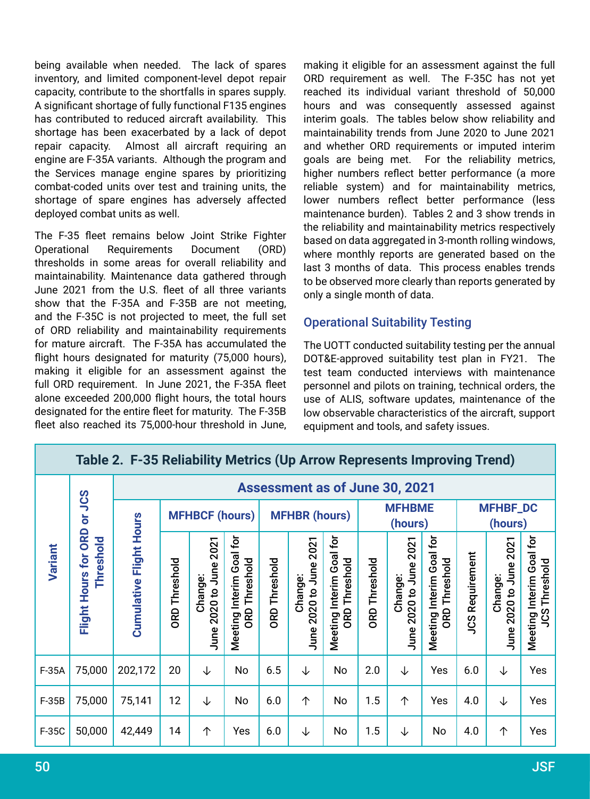being available when needed. The lack of spares inventory, and limited component-level depot repair capacity, contribute to the shortfalls in spares supply. A significant shortage of fully functional F135 engines has contributed to reduced aircraft availability. This shortage has been exacerbated by a lack of depot repair capacity. Almost all aircraft requiring an engine are F-35A variants. Although the program and the Services manage engine spares by prioritizing combat-coded units over test and training units, the shortage of spare engines has adversely affected deployed combat units as well.

The F-35 fleet remains below Joint Strike Fighter Operational Requirements Document (ORD) thresholds in some areas for overall reliability and maintainability. Maintenance data gathered through June 2021 from the U.S. fleet of all three variants show that the F-35A and F-35B are not meeting, and the F-35C is not projected to meet, the full set of ORD reliability and maintainability requirements for mature aircraft. The F-35A has accumulated the flight hours designated for maturity (75,000 hours), making it eligible for an assessment against the full ORD requirement. In June 2021, the F-35A fleet alone exceeded 200,000 flight hours, the total hours designated for the entire fleet for maturity. The F-35B fleet also reached its 75,000-hour threshold in June, making it eligible for an assessment against the full ORD requirement as well. The F-35C has not yet reached its individual variant threshold of 50,000 hours and was consequently assessed against interim goals. The tables below show reliability and maintainability trends from June 2020 to June 2021 and whether ORD requirements or imputed interim goals are being met. For the reliability metrics, higher numbers reflect better performance (a more reliable system) and for maintainability metrics, lower numbers reflect better performance (less maintenance burden). Tables 2 and 3 show trends in the reliability and maintainability metrics respectively based on data aggregated in 3-month rolling windows, where monthly reports are generated based on the last 3 months of data. This process enables trends to be observed more clearly than reports generated by only a single month of data.

#### Operational Suitability Testing

The UOTT conducted suitability testing per the annual DOT&E-approved suitability test plan in FY21. The test team conducted interviews with maintenance personnel and pilots on training, technical orders, the use of ALIS, software updates, maintenance of the low observable characteristics of the aircraft, support equipment and tools, and safety issues.

| Table 2. F-35 Reliability Metrics (Up Arrow Represents Improving Trend) |                              |                                       |                       |                                                         |                                                           |                      |                                   |                                                        |                          |                                   |                                                  |                            |                                   |                                                  |
|-------------------------------------------------------------------------|------------------------------|---------------------------------------|-----------------------|---------------------------------------------------------|-----------------------------------------------------------|----------------------|-----------------------------------|--------------------------------------------------------|--------------------------|-----------------------------------|--------------------------------------------------|----------------------------|-----------------------------------|--------------------------------------------------|
| Sar<br>$\overline{\overline{o}}$<br>ORD<br>Variant<br>Hours for         |                              | <b>Assessment as of June 30, 2021</b> |                       |                                                         |                                                           |                      |                                   |                                                        |                          |                                   |                                                  |                            |                                   |                                                  |
|                                                                         |                              |                                       | <b>MFHBCF (hours)</b> |                                                         |                                                           | <b>MFHBR (hours)</b> |                                   |                                                        | <b>MFHBME</b><br>(hours) |                                   |                                                  | <b>MFHBF_DC</b><br>(hours) |                                   |                                                  |
|                                                                         | <b>Threshold</b><br>Flight I | <b>Cumulative Flight Hours</b>        | <b>ORD Threshold</b>  | 2021<br>June <sup>:</sup><br>Change:<br>2020 to<br>June | Goal for<br>Threshold<br>Interim<br><b>ORD</b><br>Meeting | <b>ORD Threshold</b> | June 2020 to June 2021<br>Change: | Interim Goal for<br>Threshold<br><b>GRD</b><br>Meeting | <b>ORD Threshold</b>     | June 2020 to June 2021<br>Change: | Meeting Interim Goal for<br><b>ORD Threshold</b> | Requirement<br>SCI         | June 2020 to June 2021<br>Change: | Meeting Interim Goal for<br><b>JCS Threshold</b> |
| $F-35A$                                                                 | 75,000                       | 202,172                               | 20                    | ↓                                                       | No                                                        | 6.5                  | ↓                                 | No                                                     | 2.0                      | ↓                                 | Yes                                              | 6.0                        | ↓                                 | Yes                                              |
| $F-35B$                                                                 | 75,000                       | 75,141                                | 12                    | ↓                                                       | No                                                        | 6.0                  | 个                                 | No                                                     | 1.5                      | $\uparrow$                        | Yes                                              | 4.0                        | ↓                                 | Yes                                              |
| F-35C                                                                   | 50,000                       | 42,449                                | 14                    | $\uparrow$                                              | Yes                                                       | 6.0                  | ↓                                 | No                                                     | 1.5                      | ↓                                 | No                                               | 4.0                        | $\uparrow$                        | Yes                                              |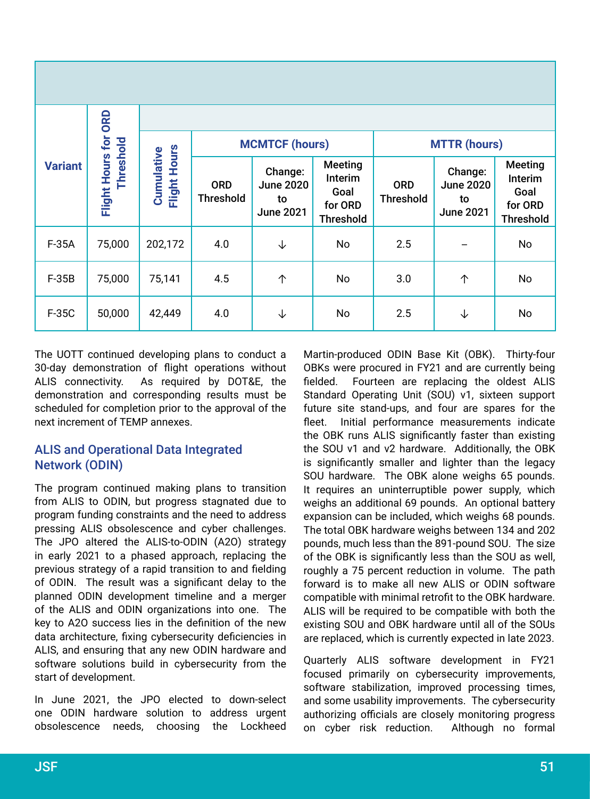| <b>Variant</b> |                                   |                            |                                | <b>MCMTCF (hours)</b>                                 |                                                                  | <b>MTTR (hours)</b>            |                                                       |                                                                  |  |
|----------------|-----------------------------------|----------------------------|--------------------------------|-------------------------------------------------------|------------------------------------------------------------------|--------------------------------|-------------------------------------------------------|------------------------------------------------------------------|--|
|                | Flight Hours for ORD<br>Threshold | Flight Hours<br>Cumulative | <b>ORD</b><br><b>Threshold</b> | Change:<br><b>June 2020</b><br>to<br><b>June 2021</b> | <b>Meeting</b><br>Interim<br>Goal<br>for ORD<br><b>Threshold</b> | <b>ORD</b><br><b>Threshold</b> | Change:<br><b>June 2020</b><br>to<br><b>June 2021</b> | <b>Meeting</b><br>Interim<br>Goal<br>for ORD<br><b>Threshold</b> |  |
| $F-35A$        | 75,000                            | 202,172                    | 4.0                            | ↓                                                     | No                                                               | 2.5                            |                                                       | No                                                               |  |
| $F-35B$        | 75,000                            | 75,141                     | 4.5                            | 个                                                     | No                                                               | 3.0                            | $\uparrow$                                            | No                                                               |  |
| F-35C          | 50,000                            | 42,449                     | 4.0                            | ↓                                                     | No                                                               | 2.5                            | ↓                                                     | No                                                               |  |

The UOTT continued developing plans to conduct a 30-day demonstration of flight operations without ALIS connectivity. As required by DOT&E, the demonstration and corresponding results must be scheduled for completion prior to the approval of the next increment of TEMP annexes.

#### ALIS and Operational Data Integrated Network (ODIN)

The program continued making plans to transition from ALIS to ODIN, but progress stagnated due to program funding constraints and the need to address pressing ALIS obsolescence and cyber challenges. The JPO altered the ALIS-to-ODIN (A2O) strategy in early 2021 to a phased approach, replacing the previous strategy of a rapid transition to and fielding of ODIN. The result was a significant delay to the planned ODIN development timeline and a merger of the ALIS and ODIN organizations into one. The key to A2O success lies in the definition of the new data architecture, fixing cybersecurity deficiencies in ALIS, and ensuring that any new ODIN hardware and software solutions build in cybersecurity from the start of development.

In June 2021, the JPO elected to down-select one ODIN hardware solution to address urgent obsolescence needs, choosing the Lockheed

Martin‑produced ODIN Base Kit (OBK). Thirty-four OBKs were procured in FY21 and are currently being fielded. Fourteen are replacing the oldest ALIS Standard Operating Unit (SOU) v1, sixteen support future site stand-ups, and four are spares for the fleet. Initial performance measurements indicate the OBK runs ALIS significantly faster than existing the SOU v1 and v2 hardware. Additionally, the OBK is significantly smaller and lighter than the legacy SOU hardware. The OBK alone weighs 65 pounds. It requires an uninterruptible power supply, which weighs an additional 69 pounds. An optional battery expansion can be included, which weighs 68 pounds. The total OBK hardware weighs between 134 and 202 pounds, much less than the 891-pound SOU. The size of the OBK is significantly less than the SOU as well, roughly a 75 percent reduction in volume. The path forward is to make all new ALIS or ODIN software compatible with minimal retrofit to the OBK hardware. ALIS will be required to be compatible with both the existing SOU and OBK hardware until all of the SOUs are replaced, which is currently expected in late 2023.

Quarterly ALIS software development in FY21 focused primarily on cybersecurity improvements, software stabilization, improved processing times, and some usability improvements. The cybersecurity authorizing officials are closely monitoring progress on cyber risk reduction. Although no formal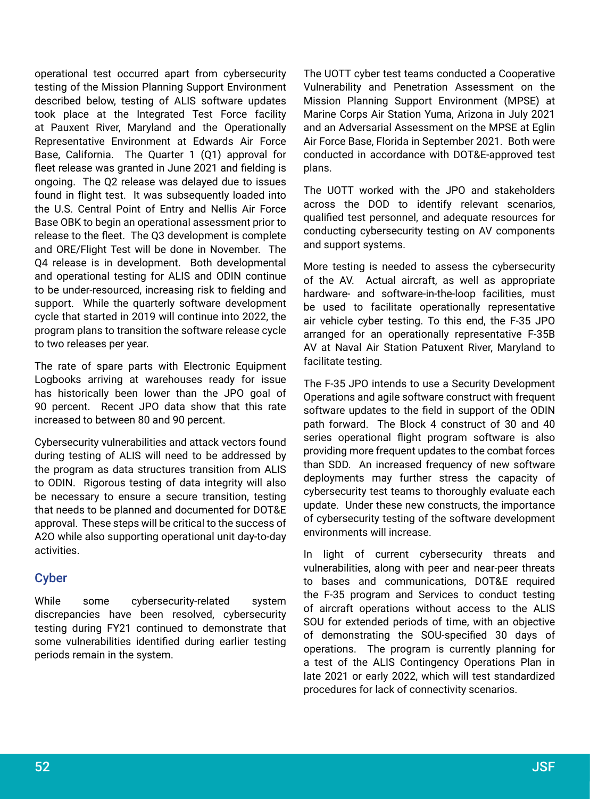operational test occurred apart from cybersecurity testing of the Mission Planning Support Environment described below, testing of ALIS software updates took place at the Integrated Test Force facility at Pauxent River, Maryland and the Operationally Representative Environment at Edwards Air Force Base, California. The Quarter 1 (Q1) approval for fleet release was granted in June 2021 and fielding is ongoing. The Q2 release was delayed due to issues found in flight test. It was subsequently loaded into the U.S. Central Point of Entry and Nellis Air Force Base OBK to begin an operational assessment prior to release to the fleet. The Q3 development is complete and ORE/Flight Test will be done in November. The Q4 release is in development. Both developmental and operational testing for ALIS and ODIN continue to be under-resourced, increasing risk to fielding and support. While the quarterly software development cycle that started in 2019 will continue into 2022, the program plans to transition the software release cycle to two releases per year.

The rate of spare parts with Electronic Equipment Logbooks arriving at warehouses ready for issue has historically been lower than the JPO goal of 90 percent. Recent JPO data show that this rate increased to between 80 and 90 percent.

Cybersecurity vulnerabilities and attack vectors found during testing of ALIS will need to be addressed by the program as data structures transition from ALIS to ODIN. Rigorous testing of data integrity will also be necessary to ensure a secure transition, testing that needs to be planned and documented for DOT&E approval. These steps will be critical to the success of A2O while also supporting operational unit day-to-day activities.

#### Cyber

While some cybersecurity-related system discrepancies have been resolved, cybersecurity testing during FY21 continued to demonstrate that some vulnerabilities identified during earlier testing periods remain in the system.

The UOTT cyber test teams conducted a Cooperative Vulnerability and Penetration Assessment on the Mission Planning Support Environment (MPSE) at Marine Corps Air Station Yuma, Arizona in July 2021 and an Adversarial Assessment on the MPSE at Eglin Air Force Base, Florida in September 2021. Both were conducted in accordance with DOT&E-approved test plans.

The UOTT worked with the JPO and stakeholders across the DOD to identify relevant scenarios, qualified test personnel, and adequate resources for conducting cybersecurity testing on AV components and support systems.

More testing is needed to assess the cybersecurity of the AV. Actual aircraft, as well as appropriate hardware- and software-in-the-loop facilities, must be used to facilitate operationally representative air vehicle cyber testing. To this end, the F-35 JPO arranged for an operationally representative F-35B AV at Naval Air Station Patuxent River, Maryland to facilitate testing.

The F-35 JPO intends to use a Security Development Operations and agile software construct with frequent software updates to the field in support of the ODIN path forward. The Block 4 construct of 30 and 40 series operational flight program software is also providing more frequent updates to the combat forces than SDD. An increased frequency of new software deployments may further stress the capacity of cybersecurity test teams to thoroughly evaluate each update. Under these new constructs, the importance of cybersecurity testing of the software development environments will increase.

In light of current cybersecurity threats and vulnerabilities, along with peer and near-peer threats to bases and communications, DOT&E required the F-35 program and Services to conduct testing of aircraft operations without access to the ALIS SOU for extended periods of time, with an objective of demonstrating the SOU-specified 30 days of operations. The program is currently planning for a test of the ALIS Contingency Operations Plan in late 2021 or early 2022, which will test standardized procedures for lack of connectivity scenarios.